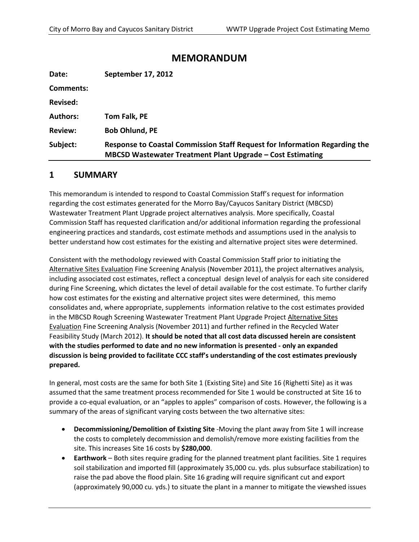# **MEMORANDUM**

| Date:           | September 17, 2012                                                                                                                              |
|-----------------|-------------------------------------------------------------------------------------------------------------------------------------------------|
| Comments:       |                                                                                                                                                 |
| <b>Revised:</b> |                                                                                                                                                 |
| <b>Authors:</b> | Tom Falk, PE                                                                                                                                    |
| <b>Review:</b>  | <b>Bob Ohlund, PE</b>                                                                                                                           |
| Subject:        | Response to Coastal Commission Staff Request for Information Regarding the<br><b>MBCSD Wastewater Treatment Plant Upgrade - Cost Estimating</b> |

# **1 SUMMARY**

This memorandum is intended to respond to Coastal Commission Staff's request for information regarding the cost estimates generated for the Morro Bay/Cayucos Sanitary District (MBCSD) Wastewater Treatment Plant Upgrade project alternatives analysis. More specifically, Coastal Commission Staff has requested clarification and/or additional information regarding the professional engineering practices and standards, cost estimate methods and assumptions used in the analysis to better understand how cost estimates for the existing and alternative project sites were determined.

Consistent with the methodology reviewed with Coastal Commission Staff prior to initiating the Alternative Sites Evaluation Fine Screening Analysis (November 2011), the project alternatives analysis, including associated cost estimates, reflect a conceptual design level of analysis for each site considered during Fine Screening, which dictates the level of detail available for the cost estimate. To further clarify how cost estimates for the existing and alternative project sites were determined, this memo consolidates and, where appropriate, supplements information relative to the cost estimates provided in the MBCSD Rough Screening Wastewater Treatment Plant Upgrade Project Alternative Sites Evaluation Fine Screening Analysis (November 2011) and further refined in the Recycled Water Feasibility Study (March 2012). **It should be noted that all cost data discussed herein are consistent with the studies performed to date and no new information is presented - only an expanded discussion is being provided to facilitate CCC staff's understanding of the cost estimates previously prepared.**

In general, most costs are the same for both Site 1 (Existing Site) and Site 16 (Righetti Site) as it was assumed that the same treatment process recommended for Site 1 would be constructed at Site 16 to provide a co-equal evaluation, or an "apples to apples" comparison of costs. However, the following is a summary of the areas of significant varying costs between the two alternative sites:

- **Decommissioning/Demolition of Existing Site** -Moving the plant away from Site 1 will increase the costs to completely decommission and demolish/remove more existing facilities from the site. This increases Site 16 costs by **\$280,000**.
- **Earthwork** Both sites require grading for the planned treatment plant facilities. Site 1 requires soil stabilization and imported fill (approximately 35,000 cu. yds. plus subsurface stabilization) to raise the pad above the flood plain. Site 16 grading will require significant cut and export (approximately 90,000 cu. yds.) to situate the plant in a manner to mitigate the viewshed issues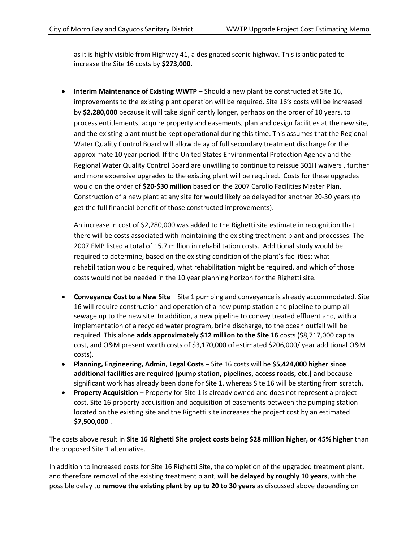as it is highly visible from Highway 41, a designated scenic highway. This is anticipated to increase the Site 16 costs by **\$273,000**.

 **Interim Maintenance of Existing WWTP** – Should a new plant be constructed at Site 16, improvements to the existing plant operation will be required. Site 16's costs will be increased by **\$2,280,000** because it will take significantly longer, perhaps on the order of 10 years, to process entitlements, acquire property and easements, plan and design facilities at the new site, and the existing plant must be kept operational during this time. This assumes that the Regional Water Quality Control Board will allow delay of full secondary treatment discharge for the approximate 10 year period. If the United States Environmental Protection Agency and the Regional Water Quality Control Board are unwilling to continue to reissue 301H waivers , further and more expensive upgrades to the existing plant will be required. Costs for these upgrades would on the order of **\$20-\$30 million** based on the 2007 Carollo Facilities Master Plan. Construction of a new plant at any site for would likely be delayed for another 20-30 years (to get the full financial benefit of those constructed improvements).

An increase in cost of \$2,280,000 was added to the Righetti site estimate in recognition that there will be costs associated with maintaining the existing treatment plant and processes. The 2007 FMP listed a total of 15.7 million in rehabilitation costs. Additional study would be required to determine, based on the existing condition of the plant's facilities: what rehabilitation would be required, what rehabilitation might be required, and which of those costs would not be needed in the 10 year planning horizon for the Righetti site.

- **Conveyance Cost to a New Site** Site 1 pumping and conveyance is already accommodated. Site 16 will require construction and operation of a new pump station and pipeline to pump all sewage up to the new site. In addition, a new pipeline to convey treated effluent and, with a implementation of a recycled water program, brine discharge, to the ocean outfall will be required. This alone **adds approximately \$12 million to the Site 16** costs (\$8,717,000 capital cost, and O&M present worth costs of \$3,170,000 of estimated \$206,000/ year additional O&M costs).
- **Planning, Engineering, Admin, Legal Costs** Site 16 costs will be **\$5,424,000 higher since additional facilities are required (pump station, pipelines, access roads, etc.) and** because significant work has already been done for Site 1, whereas Site 16 will be starting from scratch.
- **Property Acquisition** Property for Site 1 is already owned and does not represent a project cost. Site 16 property acquisition and acquisition of easements between the pumping station located on the existing site and the Righetti site increases the project cost by an estimated **\$7,500,000** .

The costs above result in **Site 16 Righetti Site project costs being \$28 million higher, or 45% higher** than the proposed Site 1 alternative.

In addition to increased costs for Site 16 Righetti Site, the completion of the upgraded treatment plant, and therefore removal of the existing treatment plant, **will be delayed by roughly 10 years**, with the possible delay to **remove the existing plant by up to 20 to 30 years** as discussed above depending on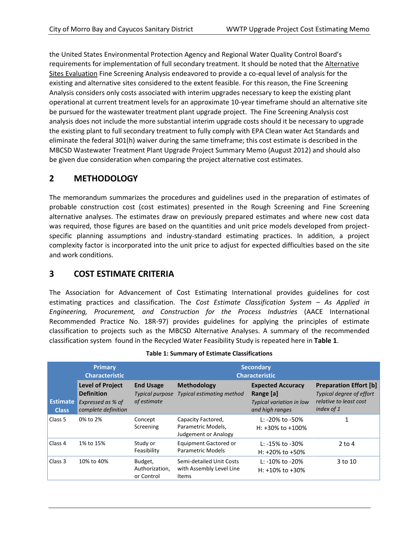the United States Environmental Protection Agency and Regional Water Quality Control Board's requirements for implementation of full secondary treatment. It should be noted that the Alternative Sites Evaluation Fine Screening Analysis endeavored to provide a co-equal level of analysis for the existing and alternative sites considered to the extent feasible. For this reason, the Fine Screening Analysis considers only costs associated with interim upgrades necessary to keep the existing plant operational at current treatment levels for an approximate 10-year timeframe should an alternative site be pursued for the wastewater treatment plant upgrade project. The Fine Screening Analysis cost analysis does not include the more substantial interim upgrade costs should it be necessary to upgrade the existing plant to full secondary treatment to fully comply with EPA Clean water Act Standards and eliminate the federal 301(h) waiver during the same timeframe; this cost estimate is described in the MBCSD Wastewater Treatment Plant Upgrade Project Summary Memo (August 2012) and should also be given due consideration when comparing the project alternative cost estimates.

# **2 METHODOLOGY**

The memorandum summarizes the procedures and guidelines used in the preparation of estimates of probable construction cost (cost estimates) presented in the Rough Screening and Fine Screening alternative analyses. The estimates draw on previously prepared estimates and where new cost data was required, those figures are based on the quantities and unit price models developed from projectspecific planning assumptions and industry-standard estimating practices. In addition, a project complexity factor is incorporated into the unit price to adjust for expected difficulties based on the site and work conditions.

# **3 COST ESTIMATE CRITERIA**

The Association for Advancement of Cost Estimating International provides guidelines for cost estimating practices and classification. The *Cost Estimate Classification System – As Applied in Engineering, Procurement, and Construction for the Process Industries* (AACE International Recommended Practice No. 18R-97) provides guidelines for applying the principles of estimate classification to projects such as the MBCSD Alternative Analyses. A summary of the recommended classification system found in the Recycled Water Feasibility Study is repeated here in **Table 1**.

| <b>Primary</b><br><b>Characteristic</b> |                                                                                          |                                                           | <b>Secondary</b><br><b>Characteristic</b>                               |                                                                                             |                                                                                                          |
|-----------------------------------------|------------------------------------------------------------------------------------------|-----------------------------------------------------------|-------------------------------------------------------------------------|---------------------------------------------------------------------------------------------|----------------------------------------------------------------------------------------------------------|
| <b>Estimate</b><br><b>Class</b>         | <b>Level of Project</b><br><b>Definition</b><br>Expressed as % of<br>complete definition | <b>End Usage</b><br><b>Typical purpose</b><br>of estimate | <b>Methodology</b><br><b>Typical estimating method</b>                  | <b>Expected Accuracy</b><br>Range [a]<br><b>Typical variation in low</b><br>and high ranges | <b>Preparation Effort [b]</b><br><b>Typical degree of effort</b><br>relative to least cost<br>index of 1 |
| Class 5                                 | 0% to 2%                                                                                 | Concept<br>Screening                                      | Capacity Factored,<br>Parametric Models,<br><b>Judgement or Analogy</b> | L: $-20\%$ to $-50\%$<br>H: $+30\%$ to $+100\%$                                             | 1                                                                                                        |
| Class 4                                 | 1% to 15%                                                                                | Study or<br>Feasibility                                   | <b>Equipment Gactored or</b><br>Parametric Models                       | L: $-15\%$ to $-30\%$<br>H: $+20\%$ to $+50\%$                                              | $2$ to 4                                                                                                 |
| Class 3                                 | 10% to 40%                                                                               | Budget,<br>Authorization,<br>or Control                   | Semi-detailed Unit Costs<br>with Assembly Level Line<br><b>Items</b>    | L: $-10\%$ to $-20\%$<br>H: $+10\%$ to $+30\%$                                              | 3 to 10                                                                                                  |

#### **Table 1: Summary of Estimate Classifications**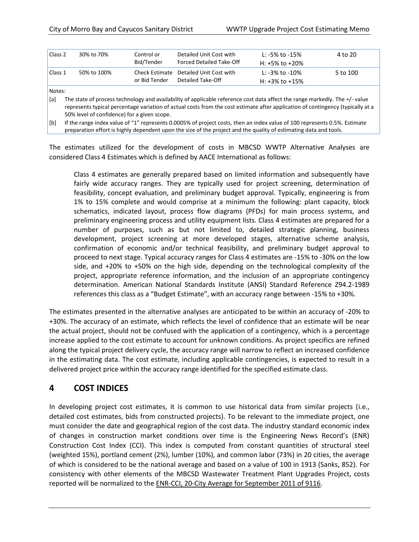| Class <sub>2</sub> | 30% to 70%  | Control or<br>Bid/Tender | Detailed Unit Cost with<br><b>Forced Detailed Take-Off</b>  | L: -5% to -15%<br>H: +5% to +20%       | 4 to 20  |
|--------------------|-------------|--------------------------|-------------------------------------------------------------|----------------------------------------|----------|
| Class 1            | 50% to 100% | or Bid Tender            | Check Estimate Detailed Unit Cost with<br>Detailed Take-Off | L: -3% to -10%<br>H: $+3\%$ to $+15\%$ | 5 to 100 |
| $N = 1 - 2$        |             |                          |                                                             |                                        |          |

Notes:

[a] The state of process technology and availability of applicable reference cost data affect the range markedly. The +/- value represents typical percentage variation of actual costs from the cost estimate after application of contingency (typically at a 50% level of confidence) for a given scope.

[b] If the range index value of "1" represents 0.0005% of project costs, then an index value of 100 represents 0.5%. Estimate preparation effort is highly dependent upon the size of the project and the quality of estimating data and tools.

The estimates utilized for the development of costs in MBCSD WWTP Alternative Analyses are considered Class 4 Estimates which is defined by AACE International as follows:

Class 4 estimates are generally prepared based on limited information and subsequently have fairly wide accuracy ranges. They are typically used for project screening, determination of feasibility, concept evaluation, and preliminary budget approval. Typically, engineering is from 1% to 15% complete and would comprise at a minimum the following: plant capacity, block schematics, indicated layout, process flow diagrams (PFDs) for main process systems, and preliminary engineering process and utility equipment lists. Class 4 estimates are prepared for a number of purposes, such as but not limited to, detailed strategic planning, business development, project screening at more developed stages, alternative scheme analysis, confirmation of economic and/or technical feasibility, and preliminary budget approval to proceed to next stage. Typical accuracy ranges for Class 4 estimates are -15% to -30% on the low side, and +20% to +50% on the high side, depending on the technological complexity of the project, appropriate reference information, and the inclusion of an appropriate contingency determination. American National Standards Institute (ANSI) Standard Reference Z94.2-1989 references this class as a "Budget Estimate", with an accuracy range between -15% to +30%.

The estimates presented in the alternative analyses are anticipated to be within an accuracy of -20% to +30%. The accuracy of an estimate, which reflects the level of confidence that an estimate will be near the actual project, should not be confused with the application of a contingency, which is a percentage increase applied to the cost estimate to account for unknown conditions. As project specifics are refined along the typical project delivery cycle, the accuracy range will narrow to reflect an increased confidence in the estimating data. The cost estimate, including applicable contingencies, is expected to result in a delivered project price within the accuracy range identified for the specified estimate class.

# **4 COST INDICES**

In developing project cost estimates, it is common to use historical data from similar projects (i.e., detailed cost estimates, bids from constructed projects). To be relevant to the immediate project, one must consider the date and geographical region of the cost data. The industry standard economic index of changes in construction market conditions over time is the Engineering News Record's (ENR) Construction Cost Index (CCI). This index is computed from constant quantities of structural steel (weighted 15%), portland cement (2%), lumber (10%), and common labor (73%) in 20 cities, the average of which is considered to be the national average and based on a value of 100 in 1913 (Sanks, 852). For consistency with other elements of the MBCSD Wastewater Treatment Plant Upgrades Project, costs reported will be normalized to the ENR-CCI, 20-City Average for September 2011 of 9116.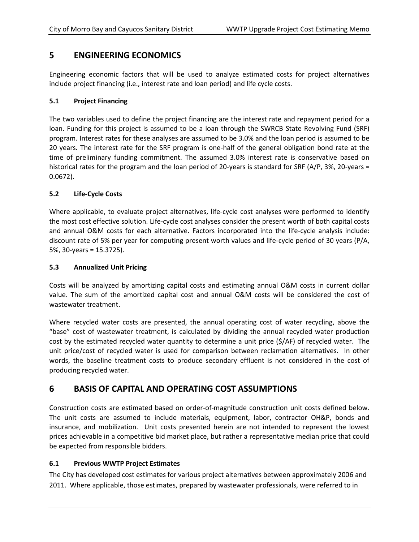# **5 ENGINEERING ECONOMICS**

Engineering economic factors that will be used to analyze estimated costs for project alternatives include project financing (i.e., interest rate and loan period) and life cycle costs.

# **5.1 Project Financing**

The two variables used to define the project financing are the interest rate and repayment period for a loan. Funding for this project is assumed to be a loan through the SWRCB State Revolving Fund (SRF) program. Interest rates for these analyses are assumed to be 3.0% and the loan period is assumed to be 20 years. The interest rate for the SRF program is one-half of the general obligation bond rate at the time of preliminary funding commitment. The assumed 3.0% interest rate is conservative based on historical rates for the program and the loan period of 20-years is standard for SRF (A/P, 3%, 20-years = 0.0672).

## **5.2 Life-Cycle Costs**

Where applicable, to evaluate project alternatives, life-cycle cost analyses were performed to identify the most cost effective solution. Life-cycle cost analyses consider the present worth of both capital costs and annual O&M costs for each alternative. Factors incorporated into the life-cycle analysis include: discount rate of 5% per year for computing present worth values and life-cycle period of 30 years (P/A, 5%, 30-years = 15.3725).

## **5.3 Annualized Unit Pricing**

Costs will be analyzed by amortizing capital costs and estimating annual O&M costs in current dollar value. The sum of the amortized capital cost and annual O&M costs will be considered the cost of wastewater treatment.

Where recycled water costs are presented, the annual operating cost of water recycling, above the "base" cost of wastewater treatment, is calculated by dividing the annual recycled water production cost by the estimated recycled water quantity to determine a unit price (\$/AF) of recycled water. The unit price/cost of recycled water is used for comparison between reclamation alternatives. In other words, the baseline treatment costs to produce secondary effluent is not considered in the cost of producing recycled water.

# **6 BASIS OF CAPITAL AND OPERATING COST ASSUMPTIONS**

Construction costs are estimated based on order-of-magnitude construction unit costs defined below. The unit costs are assumed to include materials, equipment, labor, contractor OH&P, bonds and insurance, and mobilization. Unit costs presented herein are not intended to represent the lowest prices achievable in a competitive bid market place, but rather a representative median price that could be expected from responsible bidders.

## **6.1 Previous WWTP Project Estimates**

The City has developed cost estimates for various project alternatives between approximately 2006 and 2011. Where applicable, those estimates, prepared by wastewater professionals, were referred to in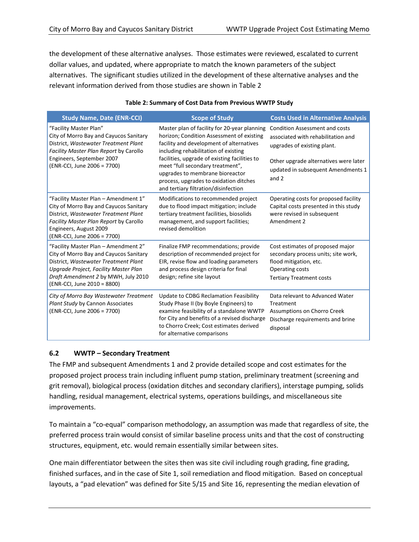the development of these alternative analyses. Those estimates were reviewed, escalated to current dollar values, and updated, where appropriate to match the known parameters of the subject alternatives. The significant studies utilized in the development of these alternative analyses and the relevant information derived from those studies are shown in Table 2

| <b>Study Name, Date (ENR-CCI)</b>                                                                                                                                                                                                     | <b>Scope of Study</b>                                                                                                                                                                                                                                                                                                                                                                   | <b>Costs Used in Alternative Analysis</b>                                                                                                                                                          |
|---------------------------------------------------------------------------------------------------------------------------------------------------------------------------------------------------------------------------------------|-----------------------------------------------------------------------------------------------------------------------------------------------------------------------------------------------------------------------------------------------------------------------------------------------------------------------------------------------------------------------------------------|----------------------------------------------------------------------------------------------------------------------------------------------------------------------------------------------------|
| "Facility Master Plan"<br>City of Morro Bay and Cayucos Sanitary<br>District, Wastewater Treatment Plant<br>Facility Master Plan Report by Carollo<br>Engineers, September 2007<br>(ENR-CCI, June 2006 = 7700)                        | Master plan of facility for 20-year planning<br>horizon; Condition Assessment of existing<br>facility and development of alternatives<br>including rehabilitation of existing<br>facilities, upgrade of existing facilities to<br>meet "full secondary treatment",<br>upgrades to membrane bioreactor<br>process, upgrades to oxidation ditches<br>and tertiary filtration/disinfection | <b>Condition Assessment and costs</b><br>associated with rehabilitation and<br>upgrades of existing plant.<br>Other upgrade alternatives were later<br>updated in subsequent Amendments 1<br>and 2 |
| "Facility Master Plan - Amendment 1"<br>City of Morro Bay and Cayucos Sanitary<br>District, Wastewater Treatment Plant<br>Facility Master Plan Report by Carollo<br>Engineers, August 2009<br>(ENR-CCI, June 2006 = 7700)             | Modifications to recommended project<br>due to flood impact mitigation; include<br>tertiary treatment facilities, biosolids<br>management, and support facilities;<br>revised demolition                                                                                                                                                                                                | Operating costs for proposed facility<br>Capital costs presented in this study<br>were revised in subsequent<br>Amendment 2                                                                        |
| "Facility Master Plan - Amendment 2"<br>City of Morro Bay and Cayucos Sanitary<br>District, Wastewater Treatment Plant<br>Upgrade Project, Facility Master Plan<br>Draft Amendment 2 by MWH, July 2010<br>(ENR-CCI, June 2010 = 8800) | Finalize FMP recommendations; provide<br>description of recommended project for<br>EIR, revise flow and loading parameters<br>and process design criteria for final<br>design; refine site layout                                                                                                                                                                                       | Cost estimates of proposed major<br>secondary process units; site work,<br>flood mitigation, etc.<br>Operating costs<br><b>Tertiary Treatment costs</b>                                            |
| City of Morro Bay Wastewater Treatment<br>Plant Study by Cannon Associates<br>(ENR-CCI, June 2006 = 7700)                                                                                                                             | Update to CDBG Reclamation Feasibility<br>Study Phase II (by Boyle Engineers) to<br>examine feasibility of a standalone WWTP<br>for City and benefits of a revised discharge<br>to Chorro Creek; Cost estimates derived<br>for alternative comparisons                                                                                                                                  | Data relevant to Advanced Water<br>Treatment<br>Assumptions on Chorro Creek<br>Discharge requirements and brine<br>disposal                                                                        |

#### **Table 2: Summary of Cost Data from Previous WWTP Study**

## **6.2 WWTP – Secondary Treatment**

The FMP and subsequent Amendments 1 and 2 provide detailed scope and cost estimates for the proposed project process train including influent pump station, preliminary treatment (screening and grit removal), biological process (oxidation ditches and secondary clarifiers), interstage pumping, solids handling, residual management, electrical systems, operations buildings, and miscellaneous site improvements.

To maintain a "co-equal" comparison methodology, an assumption was made that regardless of site, the preferred process train would consist of similar baseline process units and that the cost of constructing structures, equipment, etc. would remain essentially similar between sites.

One main differentiator between the sites then was site civil including rough grading, fine grading, finished surfaces, and in the case of Site 1, soil remediation and flood mitigation. Based on conceptual layouts, a "pad elevation" was defined for Site 5/15 and Site 16, representing the median elevation of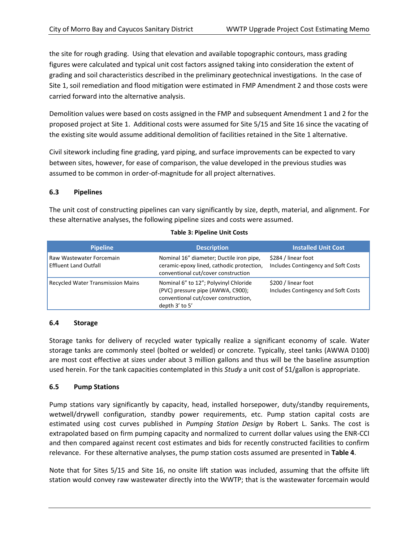the site for rough grading. Using that elevation and available topographic contours, mass grading figures were calculated and typical unit cost factors assigned taking into consideration the extent of grading and soil characteristics described in the preliminary geotechnical investigations. In the case of Site 1, soil remediation and flood mitigation were estimated in FMP Amendment 2 and those costs were carried forward into the alternative analysis.

Demolition values were based on costs assigned in the FMP and subsequent Amendment 1 and 2 for the proposed project at Site 1. Additional costs were assumed for Site 5/15 and Site 16 since the vacating of the existing site would assume additional demolition of facilities retained in the Site 1 alternative.

Civil sitework including fine grading, yard piping, and surface improvements can be expected to vary between sites, however, for ease of comparison, the value developed in the previous studies was assumed to be common in order-of-magnitude for all project alternatives.

## **6.3 Pipelines**

The unit cost of constructing pipelines can vary significantly by size, depth, material, and alignment. For these alternative analyses, the following pipeline sizes and costs were assumed.

| <b>Pipeline</b>                                          | <b>Description</b>                                                                                                                   | <b>Installed Unit Cost</b>                                 |
|----------------------------------------------------------|--------------------------------------------------------------------------------------------------------------------------------------|------------------------------------------------------------|
| Raw Wastewater Forcemain<br><b>Effluent Land Outfall</b> | Nominal 16" diameter; Ductile iron pipe,<br>ceramic-epoxy lined, cathodic protection,<br>conventional cut/cover construction         | \$284 / linear foot<br>Includes Contingency and Soft Costs |
| Recycled Water Transmission Mains                        | Nominal 6" to 12"; Polyvinyl Chloride<br>(PVC) pressure pipe (AWWA, C900);<br>conventional cut/cover construction,<br>depth 3' to 5' | \$200 / linear foot<br>Includes Contingency and Soft Costs |

#### **Table 3: Pipeline Unit Costs**

## **6.4 Storage**

Storage tanks for delivery of recycled water typically realize a significant economy of scale. Water storage tanks are commonly steel (bolted or welded) or concrete. Typically, steel tanks (AWWA D100) are most cost effective at sizes under about 3 million gallons and thus will be the baseline assumption used herein. For the tank capacities contemplated in this *Study* a unit cost of \$1/gallon is appropriate.

## **6.5 Pump Stations**

Pump stations vary significantly by capacity, head, installed horsepower, duty/standby requirements, wetwell/drywell configuration, standby power requirements, etc. Pump station capital costs are estimated using cost curves published in *Pumping Station Design* by Robert L. Sanks. The cost is extrapolated based on firm pumping capacity and normalized to current dollar values using the ENR-CCI and then compared against recent cost estimates and bids for recently constructed facilities to confirm relevance. For these alternative analyses, the pump station costs assumed are presented in **Table 4**.

Note that for Sites 5/15 and Site 16, no onsite lift station was included, assuming that the offsite lift station would convey raw wastewater directly into the WWTP; that is the wastewater forcemain would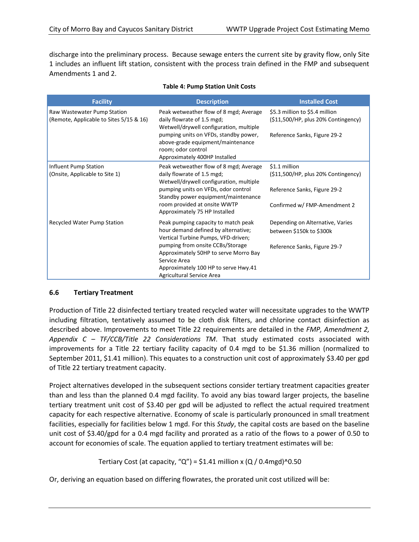discharge into the preliminary process. Because sewage enters the current site by gravity flow, only Site 1 includes an influent lift station, consistent with the process train defined in the FMP and subsequent Amendments 1 and 2.

| <b>Facility</b>                                                        | <b>Description</b>                                                                                                                                                                                                                                                                  | <b>Installed Cost</b>                                                                                               |
|------------------------------------------------------------------------|-------------------------------------------------------------------------------------------------------------------------------------------------------------------------------------------------------------------------------------------------------------------------------------|---------------------------------------------------------------------------------------------------------------------|
| Raw Wastewater Pump Station<br>(Remote, Applicable to Sites 5/15 & 16) | Peak wetweather flow of 8 mgd; Average<br>daily flowrate of 1.5 mgd;<br>Wetwell/drywell configuration, multiple<br>pumping units on VFDs, standby power,<br>above-grade equipment/maintenance<br>room; odor control<br>Approximately 400HP Installed                                | \$5.3 million to \$5.4 million<br>(511,500/HP, plus 20% Contingency)<br>Reference Sanks, Figure 29-2                |
| <b>Influent Pump Station</b><br>(Onsite, Applicable to Site 1)         | Peak wetweather flow of 8 mgd; Average<br>daily flowrate of 1.5 mgd;<br>Wetwell/drywell configuration, multiple<br>pumping units on VFDs, odor control<br>Standby power equipment/maintenance<br>room provided at onsite WWTP<br>Approximately 75 HP Installed                      | \$1.1 million<br>(511,500/HP, plus 20% Contingency)<br>Reference Sanks, Figure 29-2<br>Confirmed w/ FMP-Amendment 2 |
| Recycled Water Pump Station                                            | Peak pumping capacity to match peak<br>hour demand defined by alternative;<br>Vertical Turbine Pumps, VFD-driven;<br>pumping from onsite CCBs/Storage<br>Approximately 50HP to serve Morro Bay<br>Service Area<br>Approximately 100 HP to serve Hwy.41<br>Agricultural Service Area | Depending on Alternative, Varies<br>between \$150k to \$300k<br>Reference Sanks, Figure 29-7                        |

#### **Table 4: Pump Station Unit Costs**

## **6.6 Tertiary Treatment**

Production of Title 22 disinfected tertiary treated recycled water will necessitate upgrades to the WWTP including filtration, tentatively assumed to be cloth disk filters, and chlorine contact disinfection as described above. Improvements to meet Title 22 requirements are detailed in the *FMP, Amendment 2, Appendix C – TF/CCB/Title 22 Considerations TM*. That study estimated costs associated with improvements for a Title 22 tertiary facility capacity of 0.4 mgd to be \$1.36 million (normalized to September 2011, \$1.41 million). This equates to a construction unit cost of approximately \$3.40 per gpd of Title 22 tertiary treatment capacity.

Project alternatives developed in the subsequent sections consider tertiary treatment capacities greater than and less than the planned 0.4 mgd facility. To avoid any bias toward larger projects, the baseline tertiary treatment unit cost of \$3.40 per gpd will be adjusted to reflect the actual required treatment capacity for each respective alternative. Economy of scale is particularly pronounced in small treatment facilities, especially for facilities below 1 mgd. For this *Study*, the capital costs are based on the baseline unit cost of \$3.40/gpd for a 0.4 mgd facility and prorated as a ratio of the flows to a power of 0.50 to account for economies of scale. The equation applied to tertiary treatment estimates will be:

Tertiary Cost (at capacity, "Q") = \$1.41 million x (Q / 0.4mgd)^0.50

Or, deriving an equation based on differing flowrates, the prorated unit cost utilized will be: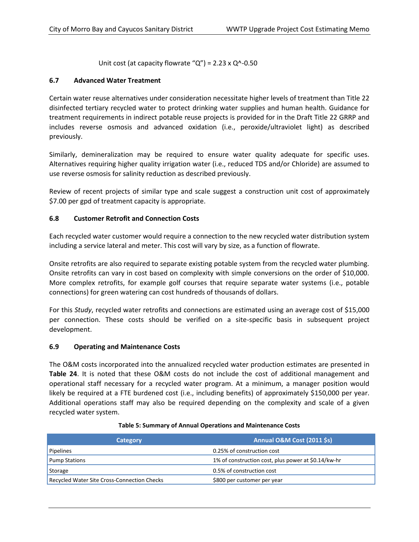Unit cost (at capacity flowrate " $Q$ ") = 2.23 x  $Q$ <sup> $\wedge$ </sup>-0.50

# **6.7 Advanced Water Treatment**

Certain water reuse alternatives under consideration necessitate higher levels of treatment than Title 22 disinfected tertiary recycled water to protect drinking water supplies and human health. Guidance for treatment requirements in indirect potable reuse projects is provided for in the Draft Title 22 GRRP and includes reverse osmosis and advanced oxidation (i.e., peroxide/ultraviolet light) as described previously.

Similarly, demineralization may be required to ensure water quality adequate for specific uses. Alternatives requiring higher quality irrigation water (i.e., reduced TDS and/or Chloride) are assumed to use reverse osmosis for salinity reduction as described previously.

Review of recent projects of similar type and scale suggest a construction unit cost of approximately \$7.00 per gpd of treatment capacity is appropriate.

# **6.8 Customer Retrofit and Connection Costs**

Each recycled water customer would require a connection to the new recycled water distribution system including a service lateral and meter. This cost will vary by size, as a function of flowrate.

Onsite retrofits are also required to separate existing potable system from the recycled water plumbing. Onsite retrofits can vary in cost based on complexity with simple conversions on the order of \$10,000. More complex retrofits, for example golf courses that require separate water systems (i.e., potable connections) for green watering can cost hundreds of thousands of dollars.

For this *Study*, recycled water retrofits and connections are estimated using an average cost of \$15,000 per connection. These costs should be verified on a site-specific basis in subsequent project development.

## **6.9 Operating and Maintenance Costs**

The O&M costs incorporated into the annualized recycled water production estimates are presented in **Table 24**. It is noted that these O&M costs do not include the cost of additional management and operational staff necessary for a recycled water program. At a minimum, a manager position would likely be required at a FTE burdened cost (i.e., including benefits) of approximately \$150,000 per year. Additional operations staff may also be required depending on the complexity and scale of a given recycled water system.

| Category                                    | <b>Annual O&amp;M Cost (2011 \$s)</b>               |
|---------------------------------------------|-----------------------------------------------------|
| <b>Pipelines</b>                            | 0.25% of construction cost                          |
| <b>Pump Stations</b>                        | 1% of construction cost, plus power at \$0.14/kw-hr |
| Storage                                     | 0.5% of construction cost                           |
| Recycled Water Site Cross-Connection Checks | \$800 per customer per year                         |

#### **Table 5: Summary of Annual Operations and Maintenance Costs**